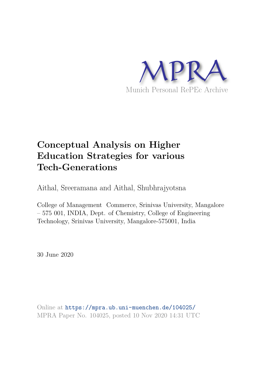

# **Conceptual Analysis on Higher Education Strategies for various Tech-Generations**

Aithal, Sreeramana and Aithal, Shubhrajyotsna

College of Management Commerce, Srinivas University, Mangalore – 575 001, INDIA, Dept. of Chemistry, College of Engineering Technology, Srinivas University, Mangalore-575001, India

30 June 2020

Online at https://mpra.ub.uni-muenchen.de/104025/ MPRA Paper No. 104025, posted 10 Nov 2020 14:31 UTC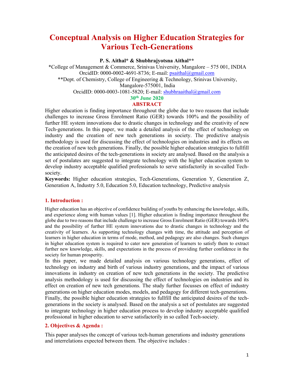# **Conceptual Analysis on Higher Education Strategies for Various Tech-Generations**

**P. S. Aithal\* & Shubhrajyotsna Aithal\*\*** 

\*College of Management & Commerce, Srinivas University, Mangalore – 575 001, INDIA OrcidID: 0000-0002-4691-8736; E-mail: psaithal@gmail.com \*\*Dept. of Chemistry, College of Engineering & Technology, Srinivas University, Mangalore-575001, India OrcidID: 0000-0003-1081-5820; E-mail: shubhraaithal@gmail.com **30th June 2020** 

# **ABSTRACT**

Higher education is finding importance throughout the globe due to two reasons that include challenges to increase Gross Enrolment Ratio (GER) towards 100% and the possibility of further HE system innovations due to drastic changes in technology and the creativity of new Tech-generations. In this paper, we made a detailed analysis of the effect of technology on industry and the creation of new tech generations in society. The predictive analysis methodology is used for discussing the effect of technologies on industries and its effects on the creation of new tech generations. Finally, the possible higher education strategies to fullfill the anticipated desires of the tech-generations in society are analysed. Based on the analysis a set of postulates are suggested to integrate technology with the higher education system to develop industry acceptable qualified professionals to serve satisfactorily in so-called Techsociety.

**Keywords:** Higher education strategies, Tech-Generations, Generation Y, Generation Z, Generation A, Industry 5.0, Education 5.0, Education technology, Predictive analysis

# **1. Introduction :**

Higher education has an objective of confidence building of youths by enhancing the knowledge, skills, and experience along with human values [1]. Higher education is finding importance throughout the globe due to two reasons that include challenge to increase Gross Enrolment Ratio (GER) towards 100% and the possibility of further HE system innovations due to drastic changes in technology and the creativity of learners. As supporting technology changes with time, the attitude and perception of learners in higher education in terms of mode, method, and pedagogy are also changes. Such changes in higher education system is required to cater new generation of learners to satisfy them to extract further new knowledge, skills, and expectations in the process of providing further confidence in the society for human prosperity.

In this paper, we made detailed analysis on various technology generations, effect of technology on industry and birth of various industry generations, and the impact of various innovations in industry on creation of new tech generations in the society. The predictive analysis methodology is used for discussing the effect of technologies on industries and its effect on creation of new tech generations. The study further focusses on effect of industry generations on higher education modes, models, and pedagogy for different tech-generations. Finally, the possible higher education strategies to fullfill the anticipated desires of the techgenerations in the society is analysed. Based on the analysis a set of postulates are suggested to integrate technology in higher education process to develop industry acceptable qualified professional in higher education to serve satisfactorily in so called Tech-society.

# **2. Objectives & Agenda :**

This paper analyses the concept of various tech-human generations and industry generations and interrelations expected between them. The objective includes :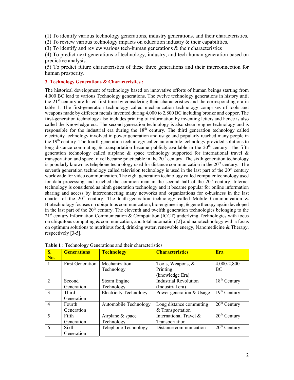(1) To identify various technology generations, industry generations, and their characteristics.

(2) To review various technology impacts on education industry & their capabilities.

(3) To identify and review various tech-human generations & their characteristics

(4) To predict next generations of technology, industry, and tech-human generation based on predictive analysis.

(5) To predict future characteristics of these three generations and their interconnection for human prosperity.

# **3. Technology Generations & Characteristics :**

The historical development of technology based on innovative efforts of human beings starting from 4,000 BC lead to various Technology generations. The twelve technology generations in history until the  $21<sup>st</sup>$  century are listed first time by considering their characteristics and the corresponding era in table 1. The first-generation technology called mechanization technology comprises of tools and weapons made by different metals invented during 4,000 to 2,800 BC including bronze and copper. The first-generation technology also includes printing of information by inventing letters and hence is also called the Knowledge era. The second generation technology is also steam engine technology and is responsible for the industrial era during the  $18<sup>th</sup>$  century. The third generation technology called electricity technology involved in power generation and usage and popularly reached many people in the  $19<sup>th</sup>$  century. The fourth generation technology called automobile technology provided solutions to long distance commuting  $&$  transportation became publicly available in the  $20<sup>th</sup>$  century. The fifth generation technology called airplane & space technology supported for international travel & transportation and space travel became practicable in the  $20<sup>th</sup>$  century. The sixth generation technology is popularly known as telephone technology used for distance communication in the  $20<sup>th</sup>$  century. The seventh generation technology called television technology is used in the last part of the  $20<sup>th</sup>$  century worldwide for video communication. The eight generation technology called computer technology used for data processing and reached the common man in the second half of the  $20<sup>th</sup>$  century. Internet technology is considered as ninth generation technology and it became popular for online information sharing and access by interconnecting many networks and organizations for e-business in the last quarter of the  $20<sup>th</sup>$  century. The tenth-generation technology called Mobile Communication & Biotechnology focuses on ubiquitous communication, bio-engineering, & gene therapy again developed in the last part of the  $20<sup>th</sup>$  century. The eleventh and twelfth generation technologies belonging to the  $21<sup>st</sup>$  century Information Communication & Computation (ICCT) underlying Technologies with focus on ubiquitous computing  $&$  communication, and total automation [2] and nanotechnology with a focus on optimum solutions to nutritious food, drinking water, renewable energy, Nanomedicine & Therapy, respectively [3-5].

| <b>S.</b>                | <b>Generations</b>      | <b>Technology</b>             | <b>Characteristics</b>       | Era            |
|--------------------------|-------------------------|-------------------------------|------------------------------|----------------|
| No.                      |                         |                               |                              |                |
|                          | <b>First Generation</b> | Mechanization                 | Tools, Weapons, &            | 4,000-2,800    |
|                          |                         | Technology                    | Printing                     | BC             |
|                          |                         |                               | (knowledge Era)              |                |
| $\overline{2}$           | Second                  | Steam Engine                  | <b>Industrial Revolution</b> | $18th$ Century |
|                          | Generation              | Technology                    | (Industrial era)             |                |
| $\mathcal{E}$            | Third                   | <b>Electricity Technology</b> | Power generation & Usage     | $19th$ Century |
|                          | Generation              |                               |                              |                |
| $\overline{4}$           | Fourth                  | Automobile Technology         | Long distance commuting      | $20th$ Century |
|                          | Generation              |                               | & Transportation             |                |
| $\overline{\mathcal{L}}$ | Fifth                   | Airplane & space              | International Travel &       | $20th$ Century |
|                          | Generation              | Technology                    | Transportation               |                |
| 6                        | Sixth                   | Telephone Technology          | Distance communication       | $20th$ Century |
|                          | Generation              |                               |                              |                |

**Table 1 :** Technology Generations and their characteristics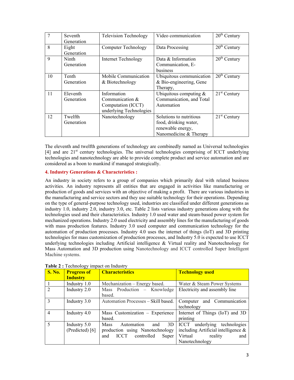|    | Seventh    | <b>Television Technology</b> | Video communication      | $20th$ Century |
|----|------------|------------------------------|--------------------------|----------------|
|    | Generation |                              |                          |                |
| 8  | Eight      | <b>Computer Technology</b>   | Data Processing          | $20th$ Century |
|    | Generation |                              |                          |                |
| 9  | Ninth      | <b>Internet Technology</b>   | Data & Information       | $20th$ Century |
|    | Generation |                              | Communication, E-        |                |
|    |            |                              | business                 |                |
| 10 | Tenth      | Mobile Communication         | Ubiquitous communication | $20th$ Century |
|    | Generation | & Biotechnology              | & Bio-engineering, Gene  |                |
|    |            |                              | Therapy,                 |                |
| 11 | Eleventh   | Information                  | Ubiquitous computing $&$ | $21st$ Century |
|    | Generation | Communication $&$            | Communication, and Total |                |
|    |            | Computation (ICCT)           | Automation               |                |
|    |            | underlying Technologies      |                          |                |
| 12 | Twelfth    | Nanotechnology               | Solutions to nutritious  | $21st$ Century |
|    | Generation |                              | food, drinking water,    |                |
|    |            |                              | renewable energy,        |                |
|    |            |                              | Nanomedicine & Therapy   |                |

The eleventh and twelfth generations of technology are combinedly named as Universal technologies  $[4]$  and are  $21<sup>st</sup>$  century technologies. The universal technologies comprising of ICCT underlying technologies and nanotechnology are able to provide complete product and service automation and are considered as a boon to mankind if managed strategically.

# **4. Industry Generations & Characteristics :**

An industry in society refers to a group of companies which primarily deal with related business activities. An industry represents all entities that are engaged in activities like manufacturing or production of goods and services with an objective of making a profit. There are various industries in the manufacturing and service sectors and they use suitable technology for their operations. Depending on the type of general-purpose technology used, industries are classified under different generations as industry 1.0, industry 2.0, industry 3.0, etc. Table 2 lists various industry generations along with the technologies used and their characteristics. Industry 1.0 used water and steam-based power system for mechanized operations. Industry 2.0 used electricity and assembly lines for the manufacturing of goods with mass production features. Industry 3.0 used computer and communication technology for the automation of production processes. Industry 4.0 uses the internet of things (IoT) and 3D printing technologies for mass customization of production processes, and Industry 5.0 is expected to use ICCT underlying technologies including Artificial intelligence & Virtual reality and Nanotechnology for Mass Automation and 3D production using Nanotechnology and ICCT controlled Super Intelligent Machine systems.

| <b>S. No.</b>  | <b>Progress of</b> | <b>Characteristics</b>                    | <b>Technology used</b>                 |
|----------------|--------------------|-------------------------------------------|----------------------------------------|
|                | <b>Industry</b>    |                                           |                                        |
|                | Industry 1.0       | Mechanization – Energy based.             | Water & Steam Power Systems            |
| $\overline{2}$ | Industry 2.0       | Mass Production – Knowledge               | Electricity and assembly line          |
|                |                    | based.                                    |                                        |
| $\mathcal{R}$  | Industry 3.0       | Automation Processes - Skill based.       | Computer and Communication             |
|                |                    |                                           | technology                             |
| $\overline{4}$ | Industry 4.0       | Mass Customization - Experience           | Internet of Things (IoT) and 3D        |
|                |                    | based.                                    | printing                               |
| 5              | Industry 5.0       | 3D<br><b>Mass</b><br>Automation<br>and    | ICCT underlying technologies           |
|                | (Predicted) [6]    | production using Nanotechnology           | including Artificial intelligence $\&$ |
|                |                    | <b>ICCT</b><br>controlled<br>Super<br>and | Virtual<br>reality<br>and              |
|                |                    |                                           | Nanotechnology                         |

|  |  |  | Table 2 : Technology impact on Industry |
|--|--|--|-----------------------------------------|
|  |  |  |                                         |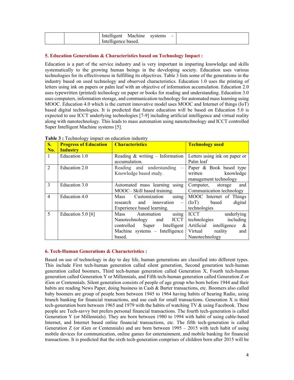|  | Intelligent         | Machine | systems |  |
|--|---------------------|---------|---------|--|
|  | Intelligence based. |         |         |  |

#### **5. Education Generations & Characteristics based on Technology Impact :**

Education is a part of the service industry and is very important in imparting knowledge and skills systematically to the growing human beings in the developing society. Education uses various technologies for its effectiveness in fulfilling its objectives. Table 3 lists some of the generations in the industry based on used technology and observed characteristics. Education 1.0 uses the printing of letters using ink on papers or palm leaf with an objective of information accumulation. Education 2.0 uses typewritten (printed) technology on paper or books for reading and understanding. Education 3.0 uses computers, information storage, and communication technology for automated mass learning using MOOC. Education 4.0 which is the current innovative model uses MOOC and Internet of things (IoT) based digital technologies. It is predicted that future education will be based on Education 5.0 is expected to use ICCT underlying technologies [7-9] including artificial intelligence and virtual reality along with nanotechnology. This leads to mass automation using nanotechnology and ICCT controlled Super Intelligent Machine systems [5].

|                | $\ldots$                                       |                                                        |                               |
|----------------|------------------------------------------------|--------------------------------------------------------|-------------------------------|
| <b>S.</b>      | <b>Progress of Education   Characteristics</b> |                                                        | <b>Technology used</b>        |
| No.            | <b>Industry</b>                                |                                                        |                               |
| $\cdot$ 1      | Education 1.0                                  | Reading $\&$ writing – Information                     | Letters using ink on paper or |
|                |                                                | accumulation.                                          | Palm leaf                     |
| $\overline{2}$ | Education 2.0                                  | Reading and understanding $-$ Paper & Book based type  |                               |
|                |                                                | Knowledge based study.                                 | written knowledge             |
|                |                                                |                                                        | management technology         |
| $\mathbf{3}$   | Education 3.0                                  | Automated mass learning using                          | Computer, storage and         |
|                |                                                | MOOC-Skill based training.                             | Communication technology      |
| $\overline{4}$ | Education 4.0                                  | Mass Customization using MOOC Internet of Things       |                               |
|                |                                                | research and innovation<br>$\equiv$                    | $(IoT)$ based<br>digital      |
|                |                                                | Experience based learning.                             | technologies                  |
| 5              | Education $5.0$ [6]                            | Mass Automation using                                  | ICCT underlying               |
|                |                                                | Nanotechnology and ICCT                                | technologies including        |
|                |                                                | controlled Super Intelligent Artificial intelligence & |                               |
|                |                                                | Machine systems – Intelligence Virtual reality and     |                               |
|                |                                                | based.                                                 | Nanotechnology                |

**Table 3 :** Technology impact on education industry

#### **6. Tech-Human Generations & Characteristics :**

Based on use of technology in day to day life, human generations are classified into different types. This include First tech-human generation called silent generation, Second generation tech-human generation called boomers, Third tech-human generation called Generation X, Fourth tech-human generation called Generation Y or Millennials, and Fifth tech-human generation called Generation Z or iGen or Centennials. Silent generation consists of people of age group who born before 1944 and their habits are reading News Paper, doing business in Cash & Barter transactions, etc. Boomers also called baby boomers are group of people born between 1945 to 1964 having habits of hearing Radio, using branch banking for financial transactions, and use cash for small transactions. Generation X is third tech-generation born between 1965 and 1979 with the habits of watching TV & using Facebook. These people are Tech-savvy but prefers personal financial transactions. The fourth tech-generation is called Generation Y (or Millennials). They are born between 1980 to 1994 with habit of using cable-based Internet, and Internet based online financial transactions, etc. The fifth tech-generation is called Generation Z (or iGen or Centennials) and are born between  $1995 - 2015$  with tech habit of using mobile devices for communication, online games for entertainment, and mobile banking for financial transactions. It is predicted that the sixth tech-generation comprises of children born after 2015 will be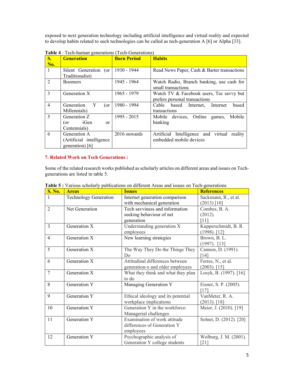exposed to next generation technology including artificial intelligence and virtual reality and expected to develop habits related to such technologies can be called as tech-generation A [6] or Alpha [33].

| S <sub>1</sub> | <b>Generation</b>            | <b>Born Period</b> | <b>Habits</b>                               |
|----------------|------------------------------|--------------------|---------------------------------------------|
| No.            |                              |                    |                                             |
| $\overline{1}$ | Silent Generation (or        | 1930 - 1944        | Read News Paper, Cash & Barter transactions |
|                | Traditionalist)              |                    |                                             |
| $\overline{2}$ | <b>Boomers</b>               | 1945 - 1964        | Watch Radio, Branch banking, use cash for   |
|                |                              |                    | small transactions                          |
| 3              | Generation X                 | 1965 - 1979        | Watch TV & Facebook users, Tec savvy but    |
|                |                              |                    | prefers personal transactions               |
| $\overline{4}$ | Generation Y<br>(or)         | 1980 - 1994        | Cable based Internet, Internet<br>based     |
|                | Millennials)                 |                    | transactions                                |
| 5              | Generation Z                 | $1995 - 2015$      | Mobile devices, Online games,<br>Mobile     |
|                | iGen<br>(or<br><sub>or</sub> |                    | banking                                     |
|                | Centennials)                 |                    |                                             |
| 6              | Generation A                 | 2016 onwards       | Artificial Intelligence and virtual reality |
|                | (Artificial intelligence)    |                    | embedded mobile devices                     |
|                | generation) [6]              |                    |                                             |

**Table 4** : Tech-human generations (Tech-Generations)

# **7. Related Work on Tech Generations :**

Some of the related research works published as scholarly articles on different areas and issues on Techgenerations are listed in table 5.

| <b>S. No.</b>  | <b>Areas</b>                 | <b>Issues</b>                                                | <b>References</b>                       |
|----------------|------------------------------|--------------------------------------------------------------|-----------------------------------------|
| 1              | <b>Technology Generation</b> | Internet generation comparison<br>with mechanical generation | Sackmann, R., et al.<br>$(2013)$ [10]   |
| $\overline{2}$ | Net Generation               | Tech savviness and information                               | Combes, B. A.                           |
|                |                              | seeking behaviour of net                                     | (2012).<br>[11]                         |
| $\overline{3}$ | Generation X                 | generation                                                   |                                         |
|                |                              | Understanding generation X<br>employees                      | Kupperschmidt, B. R.<br>$(1998)$ . [12] |
| $\overline{4}$ | Generation X                 | New learning strategies                                      | Brown, B. L.                            |
|                |                              |                                                              | $(1997)$ . [13]                         |
| 5              | Generation X                 | The Way They Do the Things They                              | Cannon, D. (1991).                      |
|                |                              | D <sub>0</sub>                                               | [14]                                    |
| 6              | Generation X                 | Attitudinal differences between                              | Ferres, N., et al.                      |
|                |                              | generation-x and older employees                             | $(2003)$ . [15]                         |
| $\overline{7}$ | Generation X                 | What they think and what they plan                           | Losyk, B. (1997). [16]                  |
|                |                              | to do                                                        |                                         |
| 8              | Generation Y                 | Managing Generation Y                                        | Eisner, S. P. (2005).                   |
|                |                              |                                                              | [17]                                    |
| 9              | Generation Y                 | Ethical ideology and its potential                           | VanMeter, R. A.                         |
|                |                              | workplace implications                                       | $(2013)$ . [18]                         |
| 10             | Generation Y                 | Generation Y in the workforce:                               | Meier, J. (2010). [19]                  |
|                |                              | Managerial challenges                                        |                                         |
| 11             | Generation Y                 | Examination of work attitude                                 | Solnet, D. (2012). [20]                 |
|                |                              | differences of Generation Y                                  |                                         |
|                |                              | employees                                                    |                                         |
| 12             | Generation Y                 | Psychographic analysis of                                    | Wolburg, J. M. (2001).                  |
|                |                              | Generation Y college students                                | $\lceil 21 \rceil$                      |

**Table 5 :** Various scholarly publications on different Areas and issues on Tech-generations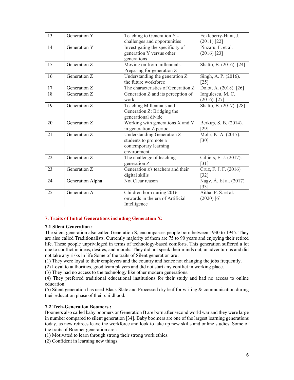| 13 | Generation Y     | Teaching to Generation Y -<br>challenges and opportunities                                  | Eckleberry-Hunt, J.<br>$(2011)$ [22]          |
|----|------------------|---------------------------------------------------------------------------------------------|-----------------------------------------------|
| 14 | Generation Y     | Investigating the specificity of<br>generation Y versus other<br>generations                | Pînzaru, F. et al.<br>$(2016)$ [23]           |
| 15 | Generation Z     | Moving on from millennials:<br>Preparing for generation Z                                   | Shatto, B. (2016). [24]                       |
| 16 | Generation Z     | Understanding the generation Z:<br>the future workforce                                     | Singh, A. P. (2016).<br>[25]                  |
| 17 | Generation Z     | The characteristics of Generation Z                                                         | Dolot, A. (2018). [26]                        |
| 18 | Generation Z     | Generation Z and its perception of<br>work                                                  | Iorgulescu, M. C.<br>$(2016)$ . [27]          |
| 19 | Generation Z     | Teaching Millennials and<br>Generation Z: Bridging the<br>generational divide               | Shatto, B. (2017). [28]                       |
| 20 | Generation Z     | Working with generations X and Y<br>in generation Z period                                  | Berkup, S. B. (2014).<br>[29]                 |
| 21 | Generation Z     | Understanding Generation Z<br>students to promote a<br>contemporary learning<br>environment | Mohr, K. A. (2017).<br>[30]                   |
| 22 | Generation Z     | The challenge of teaching<br>generation Z                                                   | Cilliers, E. J. (2017).<br>$\lceil 31 \rceil$ |
| 23 | Generation Z     | Generation z's teachers and their<br>digital skills                                         | Cruz, F. J. F. (2016)<br>[32]                 |
| 24 | Generation Alpha | Not Clear reason                                                                            | Nagy, Á. Et al. (2017)<br>[33]                |
| 25 | Generation A     | Children born during 2016<br>onwards in the era of Artificial<br>Intelligence               | Aithal P. S. et al.<br>$(2020)$ [6]           |

# **7. Traits of Initial Generations including Generation X:**

#### **7.1 Silent Generation :**

The silent generation also called Generation S, encompasses people born between 1930 to 1945. They are also called Traditionalists. Currently majority of them are 75 to 90 years and enjoying their retired life. These people unprivileged in terms of technology-based comforts. This generation suffered a lot due to conflict in ideas, desires, and morals. They did not speak their minds out, unadventurous and did not take any risks in life Some of the traits of Silent generation are :

(1) They were loyal to their employers and the country and hence not changing the jobs frequently.

(2) Loyal to authorities, good team players and did not start any conflict in working place.

(3) They had no access to the technology like other modern generations.

(4) They preferred traditional educational institutions for their study and had no access to online education.

(5) Silent generation has used Black Slate and Processed dry leaf for writing & communication during their education phase of their childhood.

#### **7.2 Tech-Generation Boomers :**

Boomers also called baby boomers or Generation B are born after second world war and they were large in number compared to silent generation [34]. Baby boomers are one of the largest learning generations today, as new retirees leave the workforce and look to take up new skills and online studies. Some of the traits of Boomer generation are :

(1) Motivated to learn through strong their strong work ethics.

(2) Confident in learning new things.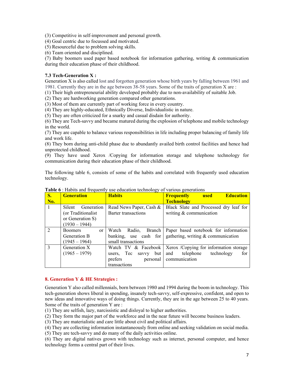(3) Competitive in self-improvement and personal growth.

(4) Goal centric due to focussed and motivated.

(5) Resourceful due to problem solving skills.

(6) Team oriented and disciplined.

(7) Baby boomers used paper based notebook for information gathering, writing & communication during their education phase of their childhood.

# **7.3 Tech-Generation X :**

Generation X is also called lost and forgotten generation whose birth years by falling between 1961 and 1981. Currently they are in the age between 38-58 years. Some of the traits of generation X are :

(1) Their high entrepreneurial ability developed probably due to non-availability of suitable Job.

(2) They are hardworking generation compared other generations.

(3) Most of them are currently part of working force in every country.

(4) They are highly-educated, Ethnically Diverse, Individualistic in nature.

(5) They are often criticized for a snarky and casual disdain for authority.

(6) They are Tech-savvy and became matured during the explosion of telephone and mobile technology in the world.

(7) They are capable to balance various responsibilities in life including proper balancing of family life and work life.

(8) They born during anti-child phase due to abundantly availed birth control facilities and hence had unprotected childhood.

(9) They have used Xerox /Copying for information storage and telephone technology for communication during their education phase of their childhood.

The following table 6, consists of some of the habits and correlated with frequently used education technology.

| S.             | <b>Generation</b>    | <b>Habits</b>                 | <b>Education</b><br><b>Frequently</b><br><b>used</b> |
|----------------|----------------------|-------------------------------|------------------------------------------------------|
| No.            |                      |                               | <b>Technology</b>                                    |
| $\overline{1}$ | Generation<br>Silent | Read News Paper, Cash &       | Black Slate and Processed dry leaf for               |
|                | (or Traditionalist)  | Barter transactions           | writing & communication                              |
|                | or Generation S)     |                               |                                                      |
|                | $(1930 - 1944)$      |                               |                                                      |
| $\overline{2}$ | <b>Boomers</b><br>or | Radio, Branch<br>Watch        | Paper based notebook for information                 |
|                | Generation B         | banking, use cash for         | gathering, writing $&$ communication                 |
|                | $(1945 - 1964)$      | small transactions            |                                                      |
| $\mathcal{E}$  | Generation X         | Watch TV & Facebook           | Xerox /Copying for information storage               |
|                | $(1965 - 1979)$      | Tec<br>but<br>savvy<br>users, | telephone<br>and<br>technology<br>for                |
|                |                      | prefers<br>personal           | communication                                        |
|                |                      | transactions                  |                                                      |

**Table 6** : Habits and frequently use education technology of various generations

#### **8. Generation Y & HE Strategies :**

Generation Y also called millennials, born between 1980 and 1994 during the boom in technology. This tech-generation shows liberal in spending, insanely tech-savvy, self-expressive, confident, and open to new ideas and innovative ways of doing things. Currently, they are in the age between 25 to 40 years. Some of the traits of generation Y are :

(1) They are selfish, lazy, narcissistic and disloyal to higher authorities.

(2) They form the major part of the workforce and in the near future will become business leaders.

(3) They are materialistic and care little about civil and political affairs.

(4) They are collecting information instantaneously from online and seeking validation on social media.

(5) They are tech-savvy and do many of the daily activities online.

(6) They are digital natives grown with technology such as internet, personal computer, and hence technology forms a central part of their lives.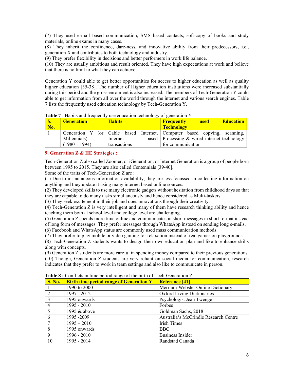(7) They used e-mail based communication, SMS based contacts, soft-copy of books and study materials, online exams in many cases.

(8) They inherit the confidence, dare-ness, and innovative ability from their predecessors, i.e., generation X and contributes to both technology and industry.

(9) They prefer flexibility in decisions and better performers in work life balance.

(10) They are usually ambitious and result oriented. They have high expectations at work and believe that there is no limit to what they can achieve.

Generation Y could able to get better opportunities for access to higher education as well as quality higher education [35-38]. The number of Higher education institutions were increased substantially during this period and the gross enrolment is also increased. The members of Tech-Generation Y could able to get information from all over the world through the internet and various search engines. Table 7 lists the frequently used education technology by Tech-Generation Y.

|     |                   | <b>Table</b> 7. Habits and hydrollify use equeation technology of generation T |                                                                 |
|-----|-------------------|--------------------------------------------------------------------------------|-----------------------------------------------------------------|
|     | <b>Generation</b> | <b>Habits</b>                                                                  | <b>Education</b><br><b>Frequently</b><br>used                   |
| No. |                   |                                                                                | <b>Technology</b>                                               |
|     | Generation Y      |                                                                                | (or   Cable based Internet,   Computer based copying, scanning, |
|     | Millennials)      | Internet                                                                       | based   Processing & wired internet technology                  |
|     | $(1980 - 1994)$   | transactions                                                                   | for communication                                               |

**Table 7** : Habits and frequently use education technology of generation Y

#### **9. Generation Z & HE Strategies :**

Tech-Generation Z also called Zoomer, or iGeneration, or Internet Generation is a group of people born between 1995 to 2015. They are also called Centennials [39-40].

Some of the traits of Tech-Generation Z are :

(1) Due to instantaneous information availability, they are less focussed in collecting information on anything and they update it using many internet based online sources.

(2) They developed skills to use many electronic gadgets without hesitation from childhood days so that they are capable to do many tasks simultaneously and hence considered as Multi-taskers.

(3) They seek excitement in their job and does innovations through their creativity.

(4) Tech-Generation Z is very intelligent and many of them have research thinking ability and hence teaching them both at school level and college level are challenging.

(5) Generation Z spends more time online and communicates in short messages in short format instead of long form of messages. They prefer messages through WhatsApp instead on sending long e-mails.

(6) Facebook and WhatsApp status are commonly used mass communication methods.

(7) They prefer to play mobile or video gaming for relaxation instead of real games on playgrounds.

(8) Tech-Generation Z students wants to design their own education plan and like to enhance skills along with concepts.

(9) Generation Z students are more careful in spending money compared to their previous generations. (10) Though, Generation Z students are very reliant on social media for communication, research indicates that they prefer to work in team settings and also like to communicate in person.

| <b>S. No.</b>               | <b>Birth time period range of Generation Y</b> | <b>Reference [41]</b>                 |
|-----------------------------|------------------------------------------------|---------------------------------------|
|                             | 1990 to 2000                                   | Merriam-Webster Online Dictionary     |
| $\mathcal{D}_{\mathcal{L}}$ | 1997 - 2012                                    | <b>Oxford Living Dictionaries</b>     |
| $\mathcal{R}$               | 1995 onwards                                   | Psychologist Jean Twenge              |
| $\overline{4}$              | 1995 - 2010                                    | Forbes                                |
| $\overline{\mathcal{L}}$    | 1995 & above                                   | Goldman Sachs, 2018                   |
| 6                           | 1995 -2009                                     | Australia's McCrindle Research Centre |
|                             | $1995 - 2010$                                  | Irish Times                           |
| 8                           | 1995 onwards                                   | <b>BBC</b>                            |
| 9                           | 1996 - 2010                                    | Business Insider                      |
| 10                          | 1995 - 2014                                    | Randstad Canada                       |

**Table 8 :** Conflicts in time period range of the birth of Tech-Generation Z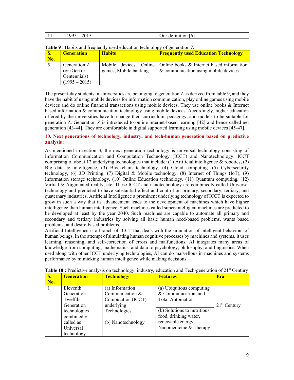| No. | <b>Generation</b>                                              | <b>Habits</b>         | <b>Frequently used Education Technology</b>                                                                |
|-----|----------------------------------------------------------------|-----------------------|------------------------------------------------------------------------------------------------------------|
|     | Generation Z<br>(or iGen or<br>Centennials)<br>$(1995 - 2015)$ | games, Mobile banking | Mobile devices, Online   Online books & Internet based information<br>& communication using mobile devices |

The present-day students in Universities are belonging to generation Z as derived from table 9, and they have the habit of using mobile devices for information communication, play online games using mobile devices and do online financial transactions using mobile devices. They use online books & Internet based information & communication technology using mobile devices. Accordingly, higher education offered by the universities have to change their curriculum, pedagogy, and models to be suitable for generation Z. Generation Z is introduced to online internet-based learning [42] and hence called net generation [43-44]. They are comfortable in digital supported learning using mobile devices [45-47].

#### **10. Next generations of technology, industry, and tech-human generation based on predictive analysis :**

As mentioned in section 3, the next generation technology is universal technology consisting of Information Communication and Computation Technology (ICCT) and Nanotechnology. ICCT comprising of about 12 underlying technologies that include: (1) Artificial intelligence & robotics, (2) Big data & intelligence, (3) Blockchain technology, (4) Cloud computing. (5) Cybersecurity technology, (6) 3D Printing, (7) Digital & Mobile technology, (8) Internet of Things (IoT), (9) Information storage technology, (10) Online Education technology, (11) Quantum computing, (12) Virtual & Augmented reality, etc. These ICCT and nanotechnology are combinedly called Universal technology and predicted to have substantial effect and control on primary, secondary, tertiary, and quaternary industries. Artificial Intelligence a prominent underlying technology of ICCT is expected to grow in such a way that its advancement leads to the development of machines which have higher intelligence than human intelligence. Such machines called super-intelligent machines are predicted to be developed at least by the year 2040. Such machines are capable to automate all primary and secondary and tertiary industries by solving all basic human need-based problems, wants based problems, and desire-based problems.

Artificial Intelligence is a branch of ICCT that deals with the simulation of intelligent behaviour of human beings. In the attempt of simulating human cognitive processes by machines and systems, it uses learning, reasoning, and self-correction of errors and malfunctions. AI integrates many areas of knowledge from computing, mathematics, and data to psychology, philosophy, and linguistics. When used along with other ICCT underlying technologies, AI can do marvellous in machines and systems performance by mimicking human intelligence while making decisions.

| S.  | <b>Generation</b> | 532<br><b>Technology</b> | <b>Features</b>             | Era            |
|-----|-------------------|--------------------------|-----------------------------|----------------|
| No. |                   |                          |                             |                |
|     | Eleventh          | (a) Information          | (a) Ubiquitous computing    |                |
|     | Generation        | Communication &          | & Communication, and        |                |
|     | Twelfth           | Computation (ICCT)       | <b>Total Automation</b>     |                |
|     | Generation        | underlying               |                             | $21st$ Century |
|     | technologies      | Technologies             | (b) Solutions to nutritious |                |
|     | combinedly        |                          | food, drinking water,       |                |
|     | called as         | (b) Nanotechnology       | renewable energy,           |                |
|     | Universal         |                          | Nanomedicine & Therapy      |                |
|     | technology        |                          |                             |                |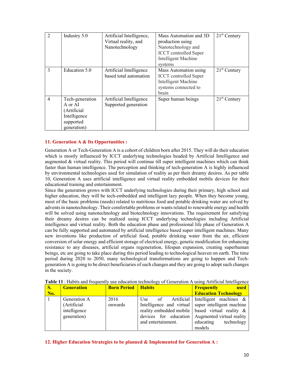| $\overline{2}$ | Industry 5.0                                                                          | Artificial Intelligence,<br>Virtual reality, and<br>Nanotechnology | Mass Automation and 3D<br>production using<br>Nanotechnology and<br><b>ICCT</b> controlled Super<br>Intelligent Machine<br>systems | $21st$ Century |
|----------------|---------------------------------------------------------------------------------------|--------------------------------------------------------------------|------------------------------------------------------------------------------------------------------------------------------------|----------------|
| 3              | Education 5.0                                                                         | Artificial Intelligence<br>based total automation                  | Mass Automation using<br><b>ICCT</b> controlled Super<br>Intelligent Machine<br>systems connected to<br>brain                      | $21st$ Century |
| $\overline{4}$ | Tech-generation<br>A or AI<br>(Artificial<br>Intelligence<br>supported<br>generation) | Artificial Intelligence<br>Supported generation                    | Super human beings                                                                                                                 | $21st$ Century |

# **11. Generation A & Its Opportunities :**

Generation A or Tech-Generation A is a cohort of children born after 2015. They will do their education which is mostly influenced by ICCT underlying technologies headed by Artificial Intelligence and augmented & virtual reality. This period will continue till super intelligent machines which can think faster than human intelligence. The perception and thinking of tech-generation A is highly influenced by environmental technologies used for simulation of reality as per their dreamy desires. As per table 10, Generation A uses artificial intelligence and virtual reality embedded mobile devices for their educational training and entertainment.

Since the generation grows with ICCT underlying technologies during their primary, high school and higher education, they will be tech-embedded and intelligent lazy people. When they become young, most of the basic problems (needs) related to nutritious food and potable drinking water are solved by advents in nanotechnology. Their comfortable problems or wants related to renewable energy and health will be solved using nanotechnology and biotechnology innovations. The requirement for satisfying their dreamy desires can be realized using ICCT underlying technologies including Artificial intelligence and virtual reality. Both the education phase and professional life phase of Generation A can be fully supported and automated by artificial intelligence based super intelligent machines. Many new inventions like production of artificial food, potable drinking water from the air, efficient conversion of solar energy and efficient storage of electrical energy, genetic modification for enhancing resistance to any diseases, artificial organs regeneration, lifespan expansion, creating superhuman beings, etc are going to take place during this period leading to technological heaven on earth. The time period during 2020 to 2050, many technological transformations are going to happen and Techgeneration A is going to be direct beneficiaries of such changes and they are going to adopt such changes in the society.

| No. | <b>Generation</b>                                          | <b>Born Period   Habits</b> |                    | used<br><b>Frequently</b><br><b>Education Technology</b>                                                                                                                                                                                         |
|-----|------------------------------------------------------------|-----------------------------|--------------------|--------------------------------------------------------------------------------------------------------------------------------------------------------------------------------------------------------------------------------------------------|
|     | Generation A<br>(Artificial<br>intelligence<br>generation) | 2016<br>onwards             | and entertainment. | Use of Artificial Intelligent machines $\&$<br>Intelligence and virtual super intelligent machine<br>reality embedded mobile   based virtual reality &<br>devices for education   Augmented virtual reality<br>educating<br>technology<br>models |

**Table 11** : Habits and frequently use education technology of Generation A using Artificial Intelligence

#### **12. Higher Education Strategies to be planned & Implemented for Generation A :**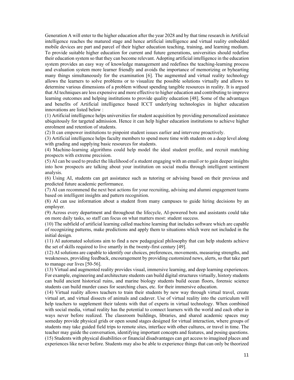Generation A will enter to the higher education after the year 2028 and by that time research in Artificial intelligence reaches the matured stage and hence artificial intelligence and virtual reality embedded mobile devices are part and parcel of their higher education teaching, training, and learning medium. To provide suitable higher education for current and future generations, universities should redefine their education system so that they can become relevant. Adopting artificial intelligence in the education system provides an easy way of knowledge management and redefines the teaching-learning process and evaluation system more learner friendly and avoids the importance of memorizing or byhearting many things simultaneously for the examination [6]. The augmented and virtual reality technology allows the learners to solve problems or to visualize the possible solutions virtually and allows to determine various dimensions of a problem without spending tangible resources in reality. It is argued that AI techniques are less expensive and more effective to higher education and contributing to improve learning outcomes and helping institutions to provide quality education [48]. Some of the advantages and benefits of Artificial intelligence based ICCT underlying technologies in higher education innovations are listed below :

(1) Artificial intelligence helps universities for student acquisition by providing personalized assistance ubiquitously for targeted admission. Hence it can help higher education institutions to achieve higher enrolment and retention of students.

(2) It can empower institutions to pinpoint student issues earlier and intervene proactively.

(3) Artificial intelligence helps faculty members to spend more time with students on a deep level along with grading and supplying basic resources for students.

(4) Machine-learning algorithms could help model the ideal student profile, and recruit matching prospects with extreme precision.

(5) AI can be used to predict the likelihood of a student engaging with an email or to gain deeper insights into how prospects are talking about your institution on social media through intelligent sentiment analysis.

(6) Using AI, students can get assistance such as tutoring or advising based on their previous and predicted future academic performance.

(7) AI can recommend the next best actions for your recruiting, advising and alumni engagement teams based on intelligent insights and pattern recognition.

(8) AI can use information about a student from many campuses to guide hiring decisions by an employer.

(9) Across every department and throughout the lifecycle, AI-powered bots and assistants could take on more daily tasks, so staff can focus on what matters most: student success.

(10) The subfield of artificial learning called machine learning that includes software which are capable of recognizing patterns, make predictions and apply them to situations which were not included in the initial design.

(11) AI automated solutions aim to find a new pedagogical philosophy that can help students achieve the set of skills required to live smartly in the twenty-first century [49].

(12) AI solutions are capable to identify our choices, preferences, movements, measuring strengths, and weaknesses, providing feedback, encouragement by providing customized news, alerts, so that take part to manage our lives [50-56].

(13) Virtual and augmented reality provides visual, immersive learning, and deep learning experiences. For example, engineering and architecture students can build digital structures virtually, history students can build ancient historical ruins, and marine biology students build ocean floors, forensic science students can build murder cases for searching clues, etc. for their immersive education.

(14) Virtual reality allows teachers to train their students by new way through virtual travel, create virtual art, and virtual dissects of animals and cadaver. Use of virtual reality into the curriculum will help teachers to supplement their talents with that of experts in virtual technology. When combined with social media, virtual reality has the potential to connect learners with the world and each other in ways never before realized. The classroom buildings, libraries, and shared academic spaces may someday provide physical grids or open sound stages designed for virtual interaction, where groups of students may take guided field trips to remote sites, interface with other cultures, or travel in time. The teacher may guide the conversation, identifying important concepts and features, and posing questions. (15) Students with physical disabilities or financial disadvantages can get access to imagined places and experiences like never before. Students may also be able to experience things that can only be theorized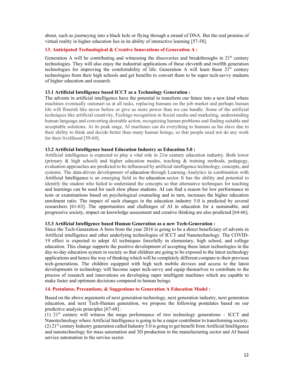about, such as journeying into a black hole or flying through a strand of DNA. But the real promise of virtual reality in higher education lies in its ability of interactive learning [57-58].

### **13. Anticipated Technological & Creative Innovations of Generation A :**

Generation A will be contributing and witnessing the discoveries and breakthroughs in  $21<sup>st</sup>$  century technologies. They will also enjoy the industrial applications of these eleventh and twelfth generation technologies for improving the comfortability of life. Generation A will learn these  $21<sup>st</sup>$  century technologies from their high schools and get benefits to convert them to be super tech-savvy students of higher education and research.

#### **13.1 Artificial Intelligence based ICCT as a Technology Generation :**

The advents in artificial intelligence have the potential to transform our future into a new kind where machines eventually outsmart us at all tasks, replacing humans on the job market and perhaps human life will flourish like never before or give us more power than we can handle. Some of the artificial techniques like artificial creativity, Feelings recognition in Social media and marketing, understanding human language and converting desirable action, recognizing human problems and finding suitable and acceptable solutions. At its peak stage, AI machines can do everything to humans as his slave due to their ability to think and decide better than many human beings, so that people need not do any work for their livelihood [59-60].

### **13.2 Artificial Intelligence based Education Industry as Education 5.0 :**

Artificial intelligence is expected to play a vital role in 21st century education industry. Both lower (primary  $\&$  high school) and higher education modes, teaching  $\&$  training methods, pedagogy, evaluation approaches are predicted to be influenced by artificial intelligence technology, concepts, and systems. The data-driven development of education through Learning Analytics in combination with Artificial Intelligence is an emerging field in the education sector. It has the ability and potential to identify the student who failed to understand the concepts so that alternative techniques for teaching and learnings can be used for such slow phase students. AI can find a reason for low performance in tests or examinations based on psychological counseling and in turn, increases the higher education enrolment ratio. The impact of such changes in the education industry 5.0 is predicted by several researchers [61-63]. The opportunities and challenges of AI in education for a sustainable, and progressive society, impact on knowledge assessment and creative thinking are also predicted [64-66].

#### **13.3 Artificial Intelligence based Human Generation as a new Tech-Generation :**

Since the Tech-Generation A born from the year 2016 is going to be a direct beneficiary of advents in Artificial intelligence and other underlying technologies of ICCT and Nanotechnology. The COVID-19 effect is expected to adopt AI techniques forcefully in elementary, high school, and college education. This change supports the positive development of accepting these latest technologies in the day-to-day education system in society so that children are going to be exposed to the latest technology applications and hence the way of thinking which will be completely different compare to their previous tech-generations. The children equipped with high tech mobile devices and access to the latest developments in technology will become super tech-savvy and equip themselves to contribute to the process of research and innovations on developing super intelligent machines which are capable to make faster and optimum decisions compared to human beings.

#### **14. Postulates, Precautions, & Suggestions to Generation A Education Model :**

Based on the above arguments of next generation technology, next generation industry, next generation education, and next Tech-Human generation, we propose the following postulates based on our predictive analysis principles [67-68] :

(1)  $21<sup>st</sup>$  century will witness the mega performance of two technology generations – ICCT and Nanotechnology where Artificial Intelligence is going to be a major contributor to transforming society. (2)  $21<sup>st</sup>$  century Industry generation called Industry 5.0 is going to get benefit from Artificial Intelligence and nanotechnology for mass automation and 3D production in the manufacturing sector and AI based service automation in the service sector.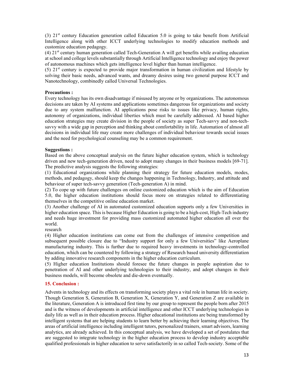(3)  $21<sup>st</sup>$  century Education generation called Education 5.0 is going to take benefit from Artificial Intelligence along with other ICCT underlying technologies to modify education methods and customize education pedagogy.

 $(4)$  21<sup>st</sup> century human generation called Tech-Generation A will get benefits while availing education at school and college levels substantially through Artificial Intelligence technology and enjoy the power of autonomous machines which gets intelligence level higher than human intelligence.

 $(5)$  21st century is expected to provide major transformation in human civilization and lifestyle by solving their basic needs, advanced wants, and dreamy desires using two general purpose ICCT and Nanotechnology, combinedly called Universal Technologies.

#### **Precautions :**

Every technology has its own disadvantage if misused by anyone or by organizations. The autonomous decisions are taken by AI systems and applications sometimes dangerous for organizations and society due to any system malfunction. AI applications pose risks to issues like privacy, human rights, autonomy of organizations, individual liberties which must be carefully addressed. AI based higher education strategies may create division in the people of society as super Tech-savvy and non-techsavvy with a wide gap in perception and thinking about comfortability in life. Automation of almost all decisions in individual life may create more challenges of individual behaviour towards social issues and the need for psychological counseling may be a common requirement.

#### **Suggestions :**

Based on the above conceptual analysis on the future higher education system, which is technology driven and new tech-generation driven, need to adopt many changes in their business models [69-71]. The predictive analysis suggests the following strategies:

(1) Educational organizations while planning their strategy for future education models, modes, methods, and pedagogy, should keep the changes happening in Technology, Industry, and attitude and behaviour of super tech-savvy generation (Tech-generation A) in mind.

(2) To cope up with future challenges on online customized education which is the aim of Education 5.0, the higher education institutions should focus more on strategies related to differentiating themselves in the competitive online education market.

(3) Another challenge of AI in automated customized education supports only a few Universities in higher education space. This is because Higher Education is going to be a high-cost, High-Tech industry and needs huge investment for providing mass customized automated higher education all over the world.

research

(4) Higher education institutions can come out from the challenges of intensive competition and subsequent possible closure due to "Industry support for only a few Universities" like Aeroplane manufacturing industry. This is further due to required heavy investments in technology-controlled education, which can be countered by following a strategy of Research based university differentiation by adding innovative research components in the higher education curriculum.

(5) Higher education Institutions should foresee the future changes in people aspiration due to penetration of AI and other underlying technologies to their industry, and adopt changes in their business models, will become obsolete and die-down eventually.

#### **15. Conclusion :**

Advents in technology and its effects on transforming society plays a vital role in human life in society. Though Generation S, Generation B, Generation X, Generation Y, and Generation Z are available in the literature, Generation A is introduced first time by our group to represent the people born after 2015 and is the witness of developments in artificial intelligence and other ICCT underlying technologies in daily life as well as in their education process. Higher educational institutions are being transformed by intelligent systems that are helping students to learn better by achieving their learning objectives. The areas of artificial intelligence including intelligent tutors, personalized trainers, smart advisors, learning analytics, are already achieved. In this conceptual analysis, we have developed a set of postulates that are suggested to integrate technology in the higher education process to develop industry acceptable qualified professionals in higher education to serve satisfactorily in so called Tech-society. Some of the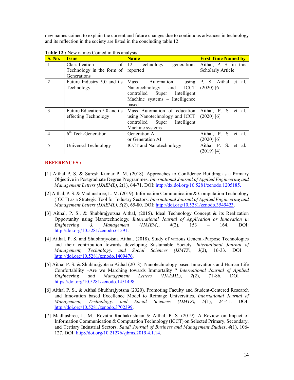new names coined to explain the current and future changes due to continuous advances in technology and its reflection in the society are listed in the concluding table 12.

| <b>S. No.</b>  | <b>Issue</b>                 | <b>Name</b>                        | <b>First Time Named by</b> |
|----------------|------------------------------|------------------------------------|----------------------------|
|                | of<br>Classification         | 12<br>generations<br>technology    | Aithal, P. S. in this      |
|                | Technology in the form of    | reported                           | <b>Scholarly Article</b>   |
|                | Generations                  |                                    |                            |
| $\overline{2}$ | Future Industry 5.0 and its  | Mass<br>Automation<br>using        | P. S. Aithal et al.        |
|                | Technology                   | Nanotechnology and ICCT            | $(2020)$ [6]               |
|                |                              | controlled Super Intelligent       |                            |
|                |                              | Machine systems - Intelligence     |                            |
|                |                              | based.                             |                            |
| $\mathbf{3}$   | Future Education 5.0 and its | Mass Automation of education       | Aithal, P. S. et al.       |
|                | effecting Technology         | using Nanotechnology and ICCT      | $(2020)$ [6]               |
|                |                              | Intelligent<br>controlled<br>Super |                            |
|                |                              | Machine systems                    |                            |
| 4              | $6th$ Tech-Generation        | Generation A                       | Aithal, P. S. et al.       |
|                |                              | or Generation AI                   | $(2020)$ [6]               |
| 5              | Universal Technology         | <b>ICCT</b> and Nanotechnology     | Aithal P. S. et al.        |
|                |                              |                                    | $(2019)$ [4]               |

**Table 12 :** New names Coined in this analysis

#### **REFERENCES :**

- [1] Aithal P. S. & Suresh Kumar P. M. (2018). Approaches to Confidence Building as a Primary Objective in Postgraduate Degree Programmes. *International Journal of Applied Engineering and Management Letters (IJAEML)*, 2(1), 64-71. DOI: http://dx.doi.org/10.5281/zenodo.1205185.
- [2] Aithal, P. S. & Madhushree, L. M. (2019). Information Communication & Computation Technology (ICCT) as a Strategic Tool for Industry Sectors. *International Journal of Applied Engineering and Management Letters (IJAEML)*, *3*(2), 65-80. DOI: http://doi.org/10.5281/zenodo.3549423.
- [3] Aithal, P. S., & Shubhrajyotsna Aithal, (2015). Ideal Technology Concept & its Realization Opportunity using Nanotechnology*, International Journal of Application or Innovation in Engineering & Management (IJAIEM)*, *4*(2), 153 – 164. DOI: http://doi.org/10.5281/zenodo.61591.
- [4] Aithal, P. S. and Shubhrajyotsna Aithal. (2018). Study of various General-Purpose Technologies and their contribution towards developing Sustainable Society. *International Journal of Management, Technology, and Social Sciences (IJMTS)*, *3*(2), 16-33. DOI : http://doi.org/10.5281/zenodo.1409476.
- [5] Aithal P. S. & Shubhrajyotsna Aithal (2018). Nanotechnology based Innovations and Human Life Comfortability –Are we Marching towards Immortality ? *International Journal of Applied Engineering and Management Letters (IJAEML)*, *2*(2), 71-86. DOI : https://doi.org/10.5281/zenodo.1451498.
- [6] Aithal P. S., & Aithal Shubhrajyotsna (2020). Promoting Faculty and Student-Centered Research and Innovation based Excellence Model to Reimage Universities. *International Journal of Management, Technology, and Social Sciences (IJMTS), 5*(1), 24-41. DOI: http://doi.org/10.5281/zenodo.3702399.
- [7] Madhushree, L. M., Revathi Radhakrishnan & Aithal, P. S. (2019). A Review on Impact of Information Communication & Computation Technology (ICCT) on Selected Primary, Secondary, and Tertiary Industrial Sectors. *Saudi Journal of Business and Management Studies*, *4*(1), 106- 127. DOI: http://doi.org/10.21276/sjbms.2019.4.1.14.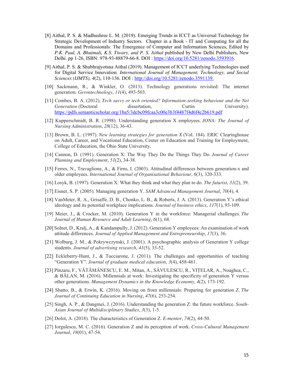- [8] Aithal, P. S. & Madhushree L. M. (2019). Emerging Trends in ICCT as Universal Technology for Strategic Development of Industry Sectors. Chapter in a Book - IT and Computing for all the Domains and Professionals: The Emergence of Computer and Information Sciences, Edited by P.K. Paul, A. Bhuimali, K.S. Tiwary, and P. S. Aithal published by New Delhi Publishers, New Delhi. pp 1-26, ISBN: 978-93-88879-66-8. DOI : https://doi.org/10.5281/zenodo.3593916.
- [9] Aithal, P. S. & Shubhrajyotsna Aithal (2019). Management of ICCT underlying Technologies used for Digital Service Innovation. *International Journal of Management, Technology, and Social Sciences (IJMTS), 4*(2), 110-136. DOI : http://doi.org/10.5281/zenodo.3591139.
- [10] Sackmann, R., & Winkler, O. (2013). Technology generations revisited: The internet generation. *Gerontechnology*, *11*(4), 493-503.
- [11] Combes, B. A. (2012). *Tech savvy or tech oriented? Information-seeking behaviour and the Net Generation* (Doctoral dissertation, Curtin University). https://pdfs.semanticscholar.org/1ba5/3dcbc09fcaa3c00e3b3f4487f4d6f4c2b619.pdf
- [12] Kupperschmidt, B. R. (1998). Understanding generation X employees. *JONA: The Journal of Nursing Administration*, *28*(12), 36-43.
- [13] Brown, B. L. (1997). *New learning strategies for generation X* (Vol. 184). ERIC Clearinghouse on Adult, Career, and Vocational Education, Center on Education and Training for Employment, College of Education, the Ohio State University.
- [14] Cannon, D. (1991). Generation X: The Way They Do the Things They Do. *Journal of Career Planning and Employment*, *51*(2), 34-38.
- [15] Ferres, N., Travaglione, A., & Firns, I. (2003). Attitudinal differences between generation-x and older employees. *International Journal of Organisational Behaviour*, *6*(3), 320-333.
- [16] Losyk, B. (1997). Generation X: What they think and what they plan to do. *The futurist*, *31*(2), 39.
- [17] Eisner, S. P. (2005). Managing generation Y. *SAM Advanced Management Journal*, *70*(4), 4.
- [18] VanMeter, R. A., Grisaffe, D. B., Chonko, L. B., & Roberts, J. A. (2013). Generation Y's ethical ideology and its potential workplace implications. *Journal of business ethics*, *117*(1), 93-109.
- [19] Meier, J., & Crocker, M. (2010). Generation Y in the workforce: Managerial challenges. *The Journal of Human Resource and Adult Learning*, *6*(1), 68.
- [20] Solnet, D., Kralj, A., & Kandampully, J. (2012). Generation Y employees: An examination of work attitude differences. *Journal of Applied Management and Entrepreneurship*, *17*(3), 36.
- [21] Wolburg, J. M., & Pokrywczynski, J. (2001). A psychographic analysis of Generation Y college students. *Journal of advertising research*, *41*(5), 33-52.
- [22] Eckleberry-Hunt, J., & Tucciarone, J. (2011). The challenges and opportunities of teaching "Generation Y". *Journal of graduate medical education*, *3*(4), 458-461.
- [23] Pînzaru, F., VĂTĂMĂNESCU, E. M., Mitan, A., SĂVULESCU, R., VIȚELAR, A., Noaghea, C., & BĂLAN, M. (2016). Millennials at work: Investigating the specificity of generation Y versus other generations. *Management Dynamics in the Knowledge Economy*, *4*(2), 173-192.
- [24] Shatto, B., & Erwin, K. (2016). Moving on from millennials: Preparing for generation Z. *The Journal of Continuing Education in Nursing*, *47*(6), 253-254.
- [25] Singh, A. P., & Dangmei, J. (2016). Understanding the generation Z: the future workforce. *South-Asian Journal of Multidisciplinary Studies*, *3*(3), 1-5.
- [26] Dolot, A. (2018). The characteristics of Generation Z. *E-mentor*, *74*(2), 44-50.
- [27] Iorgulescu, M. C. (2016). Generation Z and its perception of work. *Cross-Cultural Management Journal*, *18*(01), 47-54.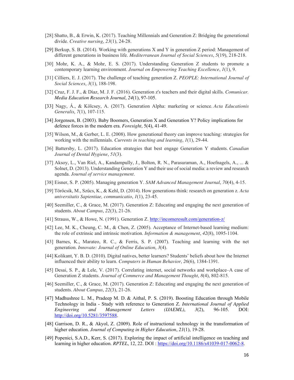- [28] Shatto, B., & Erwin, K. (2017). Teaching Millennials and Generation Z: Bridging the generational divide. *Creative nursing*, *23*(1), 24-28.
- [29] Berkup, S. B. (2014). Working with generations X and Y in generation Z period: Management of different generations in business life. *Mediterranean Journal of Social Sciences*, *5*(19), 218-218.
- [30] Mohr, K. A., & Mohr, E. S. (2017). Understanding Generation Z students to promote a contemporary learning environment. *Journal on Empowering Teaching Excellence*, *1*(1), 9.
- [31] Cilliers, E. J. (2017). The challenge of teaching generation Z. *PEOPLE: International Journal of Social Sciences*, *3*(1), 188-198.
- [32] Cruz, F. J. F., & Díaz, M. J. F. (2016). Generation z's teachers and their digital skills. *Comunicar. Media Education Research Journal*, *24*(1), 97-105.
- [33] Nagy, Á., & Kölcsey, A. (2017). Generation Alpha: marketing or science. *Acta Educationis Generalis*, *7*(1), 107-115.
- [34] Jorgensen, B. (2003). Baby Boomers, Generation X and Generation Y? Policy implications for defence forces in the modern era. *Foresight*, 5(4), 41-49.
- [35] Wilson, M., & Gerber, L. E. (2008). How generational theory can improve teaching: strategies for working with the millennials. *Currents in teaching and learning*, *1*(1), 29-44.
- [36] Battersby, L. (2017). Education strategies that best engage Generation Y students. *Canadian Journal of Dental Hygiene*, *51*(3).
- [37] Aksoy, L., Van Riel, A., Kandampully, J., Bolton, R. N., Parasuraman, A., Hoefnagels, A., ... & Solnet, D. (2013). Understanding Generation Y and their use of social media: a review and research agenda. *Journal of service management*.
- [38] Eisner, S. P. (2005). Managing generation Y. *SAM Advanced Management Journal*, *70*(4), 4-15.
- [39] Törőcsik, M., Szűcs, K., & Kehl, D. (2014). How generations think: research on generation z. *Acta universitatis Sapientiae, communicatio*, *1*(1), 23-45.
- [40] Seemiller, C., & Grace, M. (2017). Generation Z: Educating and engaging the next generation of students. *About Campus*, *22*(3), 21-26.
- [41] Strauss, W., & Howe, N. (1991). Generation Z. http://incomeresult.com/generation-z/
- [42] Lee, M. K., Cheung, C. M., & Chen, Z. (2005). Acceptance of Internet-based learning medium: the role of extrinsic and intrinsic motivation. *Information & management*, *42*(8), 1095-1104.
- [43] Barnes, K., Marateo, R. C., & Ferris, S. P. (2007). Teaching and learning with the net generation. *Innovate: Journal of Online Education*, *3*(4).
- [44] Kolikant, Y. B. D. (2010). Digital natives, better learners? Students' beliefs about how the Internet influenced their ability to learn. *Computers in Human Behavior*, *26*(6), 1384-1391.
- [45] Desai, S. P., & Lele, V. (2017). Correlating internet, social networks and workplace–A case of Generation Z students. *Journal of Commerce and Management Thought*, *8*(4), 802-815.
- [46] Seemiller, C., & Grace, M. (2017). Generation Z: Educating and engaging the next generation of students. *About Campus*, *22*(3), 21-26.
- [47] Madhushree L. M., Pradeep M. D. & Aithal, P. S. (2019). Boosting Education through Mobile Technology in India - Study with reference to Generation Z. *International Journal of Applied Engineering and Management Letters (IJAEML)*, *3*(2), 96-105. DOI: http://doi.org/10.5281/3597588.
- [48] Garrison, D. R., & Akyol, Z. (2009). Role of instructional technology in the transformation of higher education. *Journal of Computing in Higher Education*, *21*(1), 19-28.
- [49] Popenici, S.A.D., Kerr, S. (2017). Exploring the impact of artificial intelligence on teaching and learning in higher education. *RPTEL*, 12, 22. DOI : https://doi.org/10.1186/s41039-017-0062-8.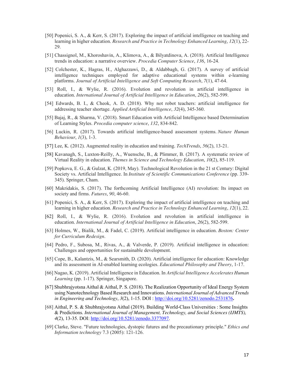- [50] Popenici, S. A., & Kerr, S. (2017). Exploring the impact of artificial intelligence on teaching and learning in higher education. *Research and Practice in Technology Enhanced Learning*, *12*(1), 22- 29.
- [51] Chassignol, M., Khoroshavin, A., Klimova, A., & Bilyatdinova, A. (2018). Artificial Intelligence trends in education: a narrative overview. *Procedia Computer Science*, *136*, 16-24.
- [52] Colchester, K., Hagras, H., Alghazzawi, D., & Aldabbagh, G. (2017). A survey of artificial intelligence techniques employed for adaptive educational systems within e-learning platforms. *Journal of Artificial Intelligence and Soft Computing Research*, *7*(1), 47-64.
- [53] Roll, I., & Wylie, R. (2016). Evolution and revolution in artificial intelligence in education. *International Journal of Artificial Intelligence in Education*, *26*(2), 582-599.
- [54] Edwards, B. I., & Cheok, A. D. (2018). Why not robot teachers: artificial intelligence for addressing teacher shortage. *Applied Artificial Intelligence*, *32*(4), 345-360.
- [55] Bajaj, R., & Sharma, V. (2018). Smart Education with Artificial Intelligence based Determination of Learning Styles. *Procedia computer science*, *132*, 834-842.
- [56] Luckin, R. (2017). Towards artificial intelligence-based assessment systems. *Nature Human Behaviour*, *1*(3), 1-3.
- [57] Lee, K. (2012). Augmented reality in education and training. *TechTrends*, *56*(2), 13-21.
- [58] Kavanagh, S., Luxton-Reilly, A., Wuensche, B., & Plimmer, B. (2017). A systematic review of Virtual Reality in education. *Themes in Science and Technology Education*, *10*(2), 85-119.
- [59] Popkova, E. G., & Gulzat, K. (2019, May). Technological Revolution in the 21 st Century: Digital Society vs. Artificial Intelligence. In *Institute of Scientific Communications Conference* (pp. 339- 345). Springer, Cham.
- [60] Makridakis, S. (2017). The forthcoming Artificial Intelligence (AI) revolution: Its impact on society and firms. *Futures*, *90*, 46-60.
- [61] Popenici, S. A., & Kerr, S. (2017). Exploring the impact of artificial intelligence on teaching and learning in higher education. *Research and Practice in Technology Enhanced Learning*, *12*(1), 22.
- [62] Roll, I., & Wylie, R. (2016). Evolution and revolution in artificial intelligence in education. *International Journal of Artificial Intelligence in Education*, *26*(2), 582-599.
- [63] Holmes, W., Bialik, M., & Fadel, C. (2019). Artificial intelligence in education. *Boston: Center for Curriculum Redesign*.
- [64] Pedro, F., Subosa, M., Rivas, A., & Valverde, P. (2019). Artificial intelligence in education: Challenges and opportunities for sustainable development.
- [65] Cope, B., Kalantzis, M., & Searsmith, D. (2020). Artificial intelligence for education: Knowledge and its assessment in AI-enabled learning ecologies. *Educational Philosophy and Theory*, 1-17.
- [66] Nagao, K. (2019). Artificial Intelligence in Education. In *Artificial Intelligence Accelerates Human Learning* (pp. 1-17). Springer, Singapore.
- [67] Shubhrajyotsna Aithal & Aithal, P. S. (2018). The Realization Opportunity of Ideal Energy System using Nanotechnology Based Research and Innovations. *International Journal of Advanced Trends in Engineering and Technology*, *3*(2), 1-15. DOI : http://doi.org/10.5281/zenodo.2531876**.**
- [68] Aithal, P. S. & Shubhrajyotsna Aithal (2019). Building World-Class Universities : Some Insights & Predictions. *International Journal of Management, Technology, and Social Sciences (IJMTS), 4*(2), 13-35. DOI: http://doi.org/10.5281/zenodo.3377097.
- [69] Clarke, Steve. "Future technologies, dystopic futures and the precautionary principle." *Ethics and Information technology* 7.3 (2005): 121-126.